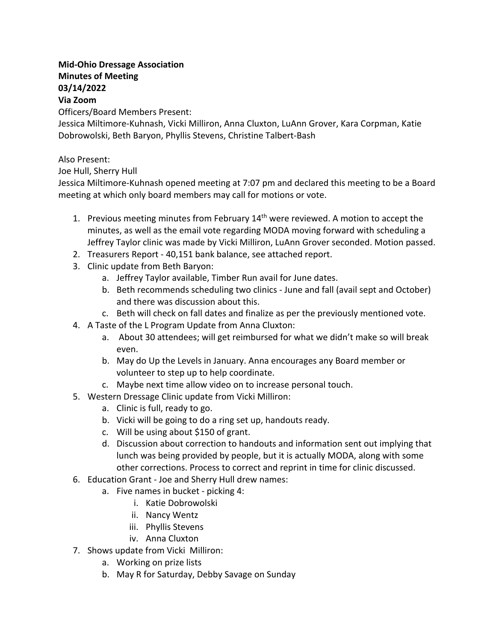## **Mid-Ohio Dressage Association Minutes of Meeting 03/14/2022**

## **Via Zoom**

Officers/Board Members Present:

Jessica Miltimore-Kuhnash, Vicki Milliron, Anna Cluxton, LuAnn Grover, Kara Corpman, Katie Dobrowolski, Beth Baryon, Phyllis Stevens, Christine Talbert-Bash

## Also Present:

Joe Hull, Sherry Hull

Jessica Miltimore-Kuhnash opened meeting at 7:07 pm and declared this meeting to be a Board meeting at which only board members may call for motions or vote.

- 1. Previous meeting minutes from February  $14<sup>th</sup>$  were reviewed. A motion to accept the minutes, as well as the email vote regarding MODA moving forward with scheduling a Jeffrey Taylor clinic was made by Vicki Milliron, LuAnn Grover seconded. Motion passed.
- 2. Treasurers Report 40,151 bank balance, see attached report.
- 3. Clinic update from Beth Baryon:
	- a. Jeffrey Taylor available, Timber Run avail for June dates.
	- b. Beth recommends scheduling two clinics June and fall (avail sept and October) and there was discussion about this.
	- c. Beth will check on fall dates and finalize as per the previously mentioned vote.
- 4. A Taste of the L Program Update from Anna Cluxton:
	- a. About 30 attendees; will get reimbursed for what we didn't make so will break even.
	- b. May do Up the Levels in January. Anna encourages any Board member or volunteer to step up to help coordinate.
	- c. Maybe next time allow video on to increase personal touch.
- 5. Western Dressage Clinic update from Vicki Milliron:
	- a. Clinic is full, ready to go.
	- b. Vicki will be going to do a ring set up, handouts ready.
	- c. Will be using about \$150 of grant.
	- d. Discussion about correction to handouts and information sent out implying that lunch was being provided by people, but it is actually MODA, along with some other corrections. Process to correct and reprint in time for clinic discussed.
- 6. Education Grant Joe and Sherry Hull drew names:
	- a. Five names in bucket picking 4:
		- i. Katie Dobrowolski
		- ii. Nancy Wentz
		- iii. Phyllis Stevens
		- iv. Anna Cluxton
- 7. Shows update from Vicki Milliron:
	- a. Working on prize lists
	- b. May R for Saturday, Debby Savage on Sunday